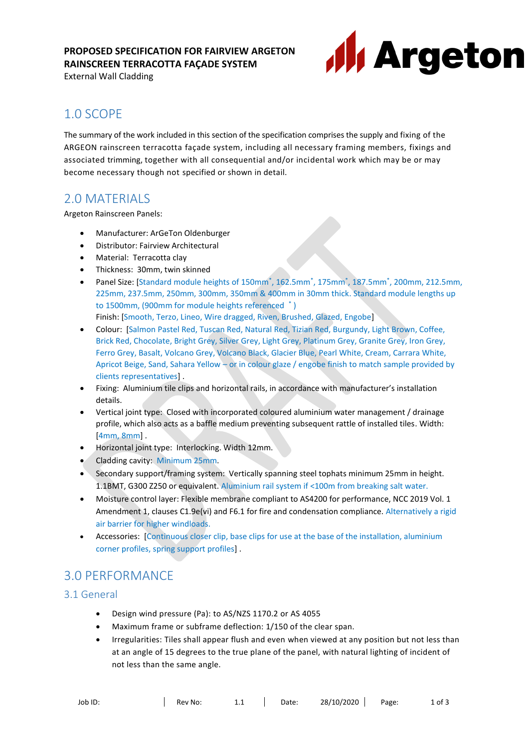## **PROPOSED SPECIFICATION FOR FAIRVIEW ARGETON RAINSCREEN TERRACOTTA FAÇADE SYSTEM**

External Wall Cladding



# 1.0 SCOPE

The summary of the work included in this section of the specification comprises the supply and fixing of the ARGEON rainscreen terracotta façade system, including all necessary framing members, fixings and associated trimming, together with all consequential and/or incidental work which may be or may become necessary though not specified or shown in detail.

## 2.0 MATERIALS

Argeton Rainscreen Panels:

- Manufacturer: ArGeTon Oldenburger
- Distributor: Fairview Architectural
- Material: Terracotta clay
- Thickness: 30mm, twin skinned
- Panel Size: [Standard module heights of 150mm<sup>\*</sup>, 162.5mm<sup>\*</sup>, 175mm<sup>\*</sup>, 187.5mm<sup>\*</sup>, 200mm, 212.5mm, 225mm, 237.5mm, 250mm, 300mm, 350mm & 400mm in 30mm thick. Standard module lengths up to 1500mm, (900mm for module heights referenced \* )
	- Finish: [Smooth, Terzo, Lineo, Wire dragged, Riven, Brushed, Glazed, Engobe]
- Colour: [Salmon Pastel Red, Tuscan Red, Natural Red, Tizian Red, Burgundy, Light Brown, Coffee, Brick Red, Chocolate, Bright Grey, Silver Grey, Light Grey, Platinum Grey, Granite Grey, Iron Grey, Ferro Grey, Basalt, Volcano Grey, Volcano Black, Glacier Blue, Pearl White, Cream, Carrara White, Apricot Beige, Sand, Sahara Yellow – or in colour glaze / engobe finish to match sample provided by clients representatives] .
- Fixing: Aluminium tile clips and horizontal rails, in accordance with manufacturer's installation details.
- Vertical joint type: Closed with incorporated coloured aluminium water management / drainage profile, which also acts as a baffle medium preventing subsequent rattle of installed tiles. Width: [4mm, 8mm] .
- Horizontal joint type: Interlocking. Width 12mm.
- Cladding cavity: Minimum 25mm.
- Secondary support/framing system: Vertically spanning steel tophats minimum 25mm in height. 1.1BMT, G300 Z250 or equivalent. Aluminium rail system if <100m from breaking salt water.
- Moisture control layer: Flexible membrane compliant to AS4200 for performance, NCC 2019 Vol. 1 Amendment 1, clauses C1.9e(vi) and F6.1 for fire and condensation compliance. Alternatively a rigid air barrier for higher windloads.
- Accessories: [Continuous closer clip, base clips for use at the base of the installation, aluminium corner profiles, spring support profiles] .

# 3.0 PERFORMANCE

## 3.1 General

- Design wind pressure (Pa): to AS/NZS 1170.2 or AS 4055
- Maximum frame or subframe deflection: 1/150 of the clear span.
- Irregularities: Tiles shall appear flush and even when viewed at any position but not less than at an angle of 15 degrees to the true plane of the panel, with natural lighting of incident of not less than the same angle.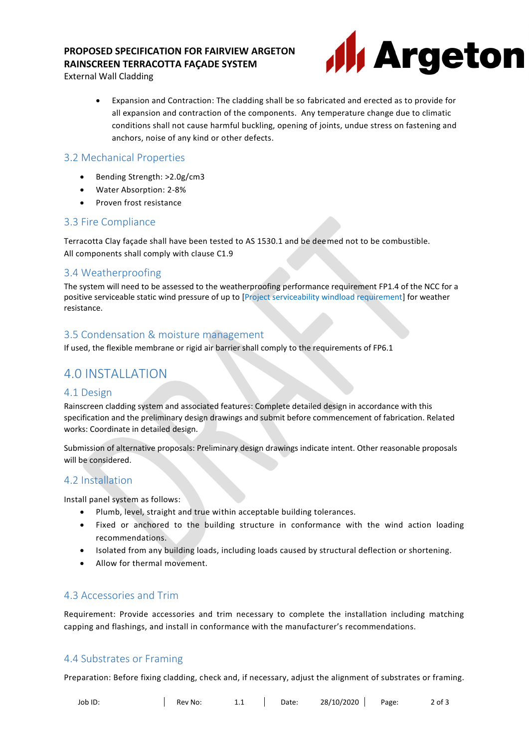## **PROPOSED SPECIFICATION FOR FAIRVIEW ARGETON RAINSCREEN TERRACOTTA FAÇADE SYSTEM**



External Wall Cladding

• Expansion and Contraction: The cladding shall be so fabricated and erected as to provide for all expansion and contraction of the components. Any temperature change due to climatic conditions shall not cause harmful buckling, opening of joints, undue stress on fastening and anchors, noise of any kind or other defects.

#### 3.2 Mechanical Properties

- Bending Strength: >2.0g/cm3
- Water Absorption: 2-8%
- Proven frost resistance

### 3.3 Fire Compliance

Terracotta Clay façade shall have been tested to AS 1530.1 and be deemed not to be combustible. All components shall comply with clause C1.9

## 3.4 Weatherproofing

The system will need to be assessed to the weatherproofing performance requirement FP1.4 of the NCC for a positive serviceable static wind pressure of up to [Project serviceability windload requirement] for weather resistance.

#### 3.5 Condensation & moisture management

If used, the flexible membrane or rigid air barrier shall comply to the requirements of FP6.1

## 4.0 INSTALLATION

#### 4.1 Design

Rainscreen cladding system and associated features: Complete detailed design in accordance with this specification and the preliminary design drawings and submit before commencement of fabrication. Related works: Coordinate in detailed design.

Submission of alternative proposals: Preliminary design drawings indicate intent. Other reasonable proposals will be considered.

#### 4.2 Installation

Install panel system as follows:

- Plumb, level, straight and true within acceptable building tolerances.
- Fixed or anchored to the building structure in conformance with the wind action loading recommendations.
- Isolated from any building loads, including loads caused by structural deflection or shortening.
- Allow for thermal movement.

#### 4.3 Accessories and Trim

Requirement: Provide accessories and trim necessary to complete the installation including matching capping and flashings, and install in conformance with the manufacturer's recommendations.

## 4.4 Substrates or Framing

Preparation: Before fixing cladding, check and, if necessary, adjust the alignment of substrates or framing.

Job ID: Rev No: 1.1 Date: 28/10/2020 Page: 2 of 3